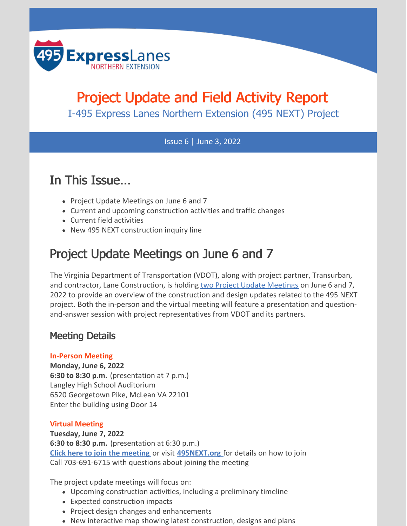

# Project Update and Field Activity Report

I-495 Express Lanes Northern Extension (495 NEXT) Project

#### Issue 6 | June 3, 2022

## In This Issue...

- Project Update Meetings on June 6 and 7
- Current and upcoming construction activities and traffic changes
- Current field activities
- New 495 NEXT construction inquiry line

## Project Update Meetings on June 6 and 7

The Virginia Department of Transportation (VDOT), along with project partner, Transurban, and contractor, Lane Construction, is holding two Project Update [Meetings](https://495next.org/newsroom/default.asp) on June 6 and 7, 2022 to provide an overview of the construction and design updates related to the 495 NEXT project. Both the in-person and the virtual meeting will feature a presentation and questionand-answer session with project representatives from VDOT and its partners.

#### Meeting Details

#### **In-Person Meeting**

**Monday, June 6, 2022 6:30 to 8:30 p.m.** (presentation at 7 p.m.) Langley High School Auditorium 6520 Georgetown Pike, McLean VA 22101 Enter the building using Door 14

#### **Virtual Meeting**

**Tuesday, June 7, 2022 6:30 to 8:30 p.m.** (presentation at 6:30 p.m.) **Click here to join the [meeting](https://covaconf.webex.com/wbxmjs/joinservice/sites/covaconf/meeting/download/514e30d9ddbe45349fc170501e1059c8?siteurl=covaconf&MTID=m18d86ef589b7a92fa586db32edd40eab)** or visit **[495NEXT.org](https://495next.org/)** for details on how to join Call 703-691-6715 with questions about joining the meeting

The project update meetings will focus on:

- Upcoming construction activities, including a preliminary timeline
- Expected construction impacts
- Project design changes and enhancements
- New interactive map showing latest construction, designs and plans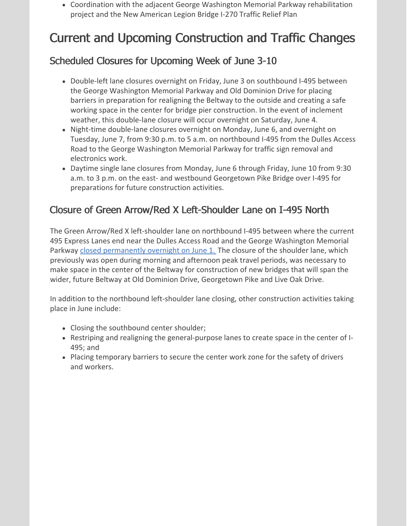Coordination with the adjacent George Washington Memorial Parkway rehabilitation project and the New American Legion Bridge I-270 Traffic Relief Plan

# Current and Upcoming Construction and Traffic Changes

## Scheduled Closures for Upcoming Week of June 3-10

- Double-left lane closures overnight on Friday, June 3 on southbound I-495 between the George Washington Memorial Parkway and Old Dominion Drive for placing barriers in preparation for realigning the Beltway to the outside and creating a safe working space in the center for bridge pier construction. In the event of inclement weather, this double-lane closure will occur overnight on Saturday, June 4.
- Night-time double-lane closures overnight on Monday, June 6, and overnight on Tuesday, June 7, from 9:30 p.m. to 5 a.m. on northbound I-495 from the Dulles Access Road to the George Washington Memorial Parkway for traffic sign removal and electronics work.
- Daytime single lane closures from Monday, June 6 through Friday, June 10 from 9:30 a.m. to 3 p.m. on the east- and westbound Georgetown Pike Bridge over I-495 for preparations for future construction activities.

## Closure of Green Arrow/Red X Left-Shoulder Lane on I-495 North

The Green Arrow/Red X left-shoulder lane on northbound I-495 between where the current 495 Express Lanes end near the Dulles Access Road and the George Washington Memorial Parkway closed [permanently](https://www.virginiadot.org/newsroom/northern-virginia/2022/triple-lane-closure-on-north--and-southbound-i-495-planned-for-tonight-wed-june-16-1-2022.asp) overnight on June 1. The closure of the shoulder lane, which previously was open during morning and afternoon peak travel periods, was necessary to make space in the center of the Beltway for construction of new bridges that will span the wider, future Beltway at Old Dominion Drive, Georgetown Pike and Live Oak Drive.

In addition to the northbound left-shoulder lane closing, other construction activities taking place in June include:

- Closing the southbound center shoulder;
- Restriping and realigning the general-purpose lanes to create space in the center of I-495; and
- Placing temporary barriers to secure the center work zone for the safety of drivers and workers.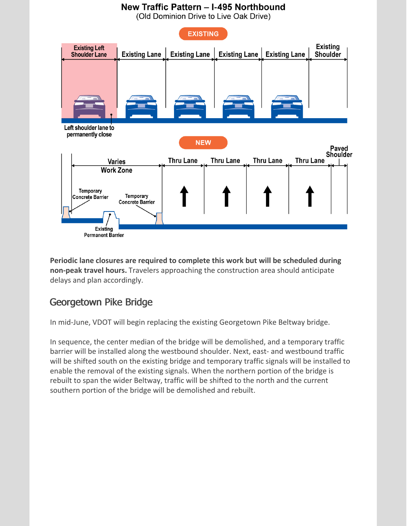

**Periodic lane closures are required to complete this work but will be scheduled during non-peak travel hours.** Travelers approaching the construction area should anticipate delays and plan accordingly.

### Georgetown Pike Bridge

In mid-June, VDOT will begin replacing the existing Georgetown Pike Beltway bridge.

In sequence, the center median of the bridge will be demolished, and a temporary traffic barrier will be installed along the westbound shoulder. Next, east- and westbound traffic will be shifted south on the existing bridge and temporary traffic signals will be installed to enable the removal of the existing signals. When the northern portion of the bridge is rebuilt to span the wider Beltway, traffic will be shifted to the north and the current southern portion of the bridge will be demolished and rebuilt.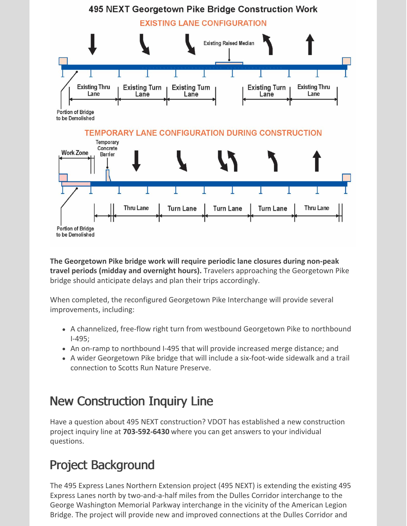

**The Georgetown Pike bridge work will require periodic lane closures during non-peak travel periods (midday and overnight hours).** Travelers approaching the Georgetown Pike bridge should anticipate delays and plan their trips accordingly.

When completed, the reconfigured Georgetown Pike Interchange will provide several improvements, including:

- A channelized, free-flow right turn from westbound Georgetown Pike to northbound I-495;
- An on-ramp to northbound I-495 that will provide increased merge distance; and
- A wider Georgetown Pike bridge that will include a six-foot-wide sidewalk and a trail connection to Scotts Run Nature Preserve.

# New Construction Inquiry Line

Have a question about 495 NEXT construction? VDOT has established a new construction project inquiry line at **703-592-6430** where you can get answers to your individual questions.

# Project Background

The 495 Express Lanes Northern Extension project (495 NEXT) is extending the existing 495 Express Lanes north by two-and-a-half miles from the Dulles Corridor interchange to the George Washington Memorial Parkway interchange in the vicinity of the American Legion Bridge. The project will provide new and improved connections at the Dulles Corridor and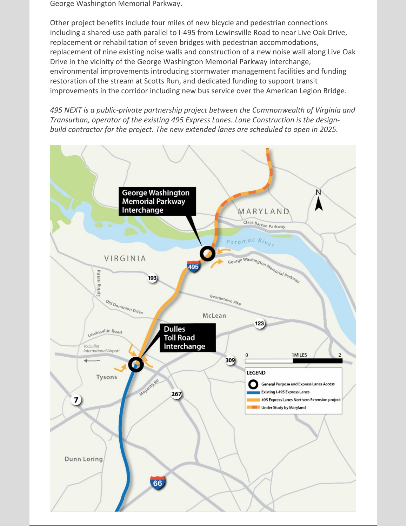George Washington Memorial Parkway.

Other project benefits include four miles of new bicycle and pedestrian connections including a shared-use path parallel to I-495 from Lewinsville Road to near Live Oak Drive, replacement or rehabilitation of seven bridges with pedestrian accommodations, replacement of nine existing noise walls and construction of a new noise wall along Live Oak Drive in the vicinity of the George Washington Memorial Parkway interchange, environmental improvements introducing stormwater management facilities and funding restoration of the stream at Scotts Run, and dedicated funding to support transit improvements in the corridor including new bus service over the American Legion Bridge.

*495 NEXT is a public-private partnership project between the Commonwealth of Virginia and Transurban, operator of the existing 495 Express Lanes. Lane Construction is the designbuild contractor for the project. The new extended lanes are scheduled to open in 2025.*